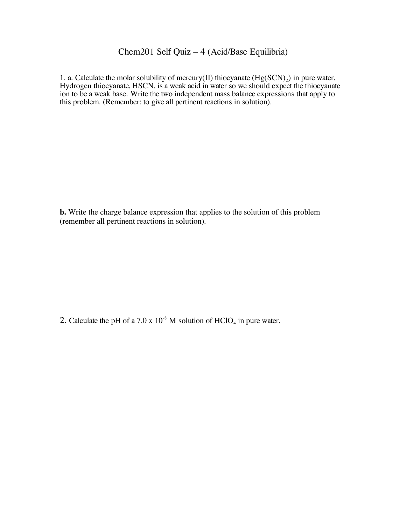## Chem201 Self Quiz – 4 (Acid/Base Equilibria)

1. a. Calculate the molar solubility of mercury(II) thiocyanate  $(Hg(SCN)_2)$  in pure water. Hydrogen thiocyanate, HSCN, is a weak acid in water so we should expect the thiocyanate ion to be a weak base. Write the two independent mass balance expressions that apply to this problem. (Remember: to give all pertinent reactions in solution).

**b.** Write the charge balance expression that applies to the solution of this problem (remember all pertinent reactions in solution).

2. Calculate the pH of a 7.0 x  $10^{-8}$  M solution of HClO<sub>4</sub> in pure water.